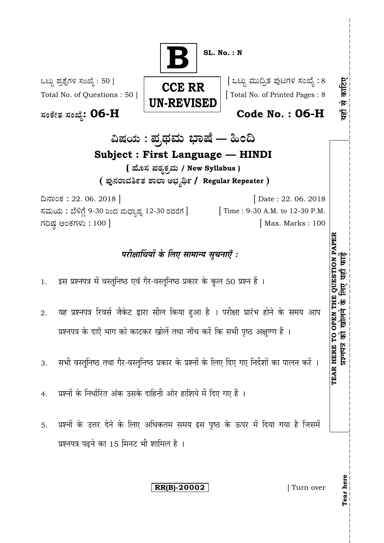**BSL. No. : N** : 50 ] [ 8 यहाँ से काटिए **CCE RR** Total No. of Questions : 50 ] [ Total No. of Printed Pages : 8 **UN-REVISED : 06-H Code No. : 06-H** ವಿಷಯ : ಪ್ರಥಮ ಭಾಷೆ — ಹಿಂದಿ **Subject : First Language — HINDI ( / New Syllabus ) / Regular Repeater** 22. 06. 2018 ] [ Date : 22. 06. 2018 ಸಮಯ : ಬೆಳಿಗ್ಗೆ 9-30 ರಿಂದ ಮಧ್ಯಾಹ್ನ 12-30 ರವರೆಗೆ ] [ Time : 9-30 A.M. to 12-30 P.M. ಗರಿಷ್ಠ ಅಂಕಗಳು : 100 ] TEAR HERE TO OPEN THE QUESTION PAPER<br>प्रश्नायत्र को खोलने के लिए यहाँ फाइँ **TEAR HERE TO OPEN THE QUESTION PAPER** परीक्षार्थियों के लिए सामान्य सूचनाएँ : 1. इस प्रश्नपत्र में वस्तुनिष्ठ एवं गैर-वस्तुनिष्ठ प्रकार के कुल 50 प्रश्न हैं । यह प्रश्नपत्र रिवर्स जैकेट द्वारा सील किया हुआ है । परीक्षा प्रारंभ होने के समय आप 2. प्रश्नपत्र के दाएँ भाग को काटकर खोलें तथा जाँच करें कि सभी पृष्ठ अक्षुण्ण हैं । सभी वस्तुनिष्ठ तथा गैर-वस्तुनिष्ठ प्रकार के प्रश्नों के लिए दिए गए निर्देशों का पालन करें । 3. प्रश्नों के निर्धारित अंक उसके दाहिनी ओर हाशिये में दिए गए हैं । 4. प्रश्नों के उत्तर देने के लिए अधिकतम समय इस पृष्ठ के ऊपर में दिया गया है जिसमें 5. प्रश्नपत्र पढ़ने का 15 मिनट भी शामिल है । **Tear here RR(B)-20002 [** Turn over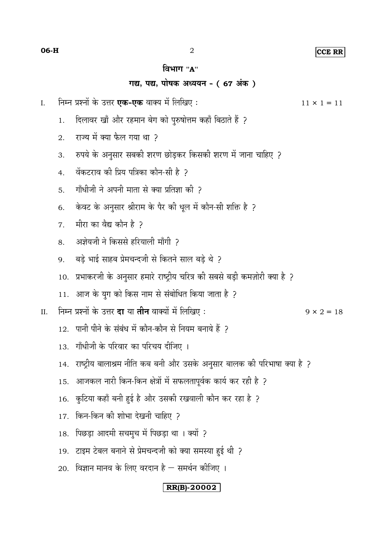#### CCE RR

### विभाग "А"

## गद्य, पद्य, पोषक अध्ययन - (67 अंक)

 $\overline{2}$ 

- निम्न प्रश्नों के उत्तर **एक-एक** वाक्य में लिखिए :  $\overline{I}$ .
	- दिलावर खाँ और रहमान बेग को पुरुषोत्तम कहाँ बिठाते हैं ?  $\overline{1}$ .
	- राज्य में क्या फैल गया था 2  $\overline{2}$
	- रुपये के अनुसार सबकी शरण छोड़कर किसकी शरण में जाना चाहिए ?  $\overline{3}$ .
	- वेंकटराव की प्रिय पत्रिका कौन-सी है २  $\overline{4}$
	- गाँधीजी ने अपनी माता से क्या प्रतिज्ञा की 2  $5<sub>1</sub>$
	- केवट के अनुसार श्रीराम के पैर की धूल में कौन-सी शक्ति है ? 6.
	- मीरा का वैद्य कौन है २  $\overline{7}$
	- अज्ञेयजी ने किससे हरियाली माँगी 2  $8<sub>1</sub>$
	- बड़े भाई साहब प्रेमचन्दजी से कितने साल बड़े थे ?  $\mathbf{Q}$
	- 10. प्रभाकरजी के अनुसार हमारे राष्ट्रीय चरित्र की सबसे बड़ी कमज़ोरी क्या है ?
	- 11. आज के युग को किस नाम से संबोधित किया जाता है ?
- निम्न प्रश्नों के उत्तर **दा** या **तीन** वाक्यों में लिखिए :  $\Pi$ .
	- 12. पानी पीने के संबंध में कौन-कौन से नियम बनाये हैं 2
	- 13. गाँधीजी के परिवार का परिचय दीजिए ।
	- 14. राष्ट्रीय बालाश्रम नीति कब बनी और उसके अनुसार बालक की परिभाषा क्या है ?
	- आजकल नारी किन-किन क्षेत्रों में सफलतापूर्वक कार्य कर रही है ? 15.
	- कुटिया कहाँ बनी हुई है और उसकी रखवाली कौन कर रहा है ? 16.
	- 17. किन-किन की शोभा देखनी चाहिए ?
	- 18. पिछड़ा आदमी सचमुच में पिछड़ा था । क्यों ?
	- 19. टाइम टेबल बनाने से प्रेमचन्दजी को क्या समस्या हुई थी ?
	- 20. विज्ञान मानव के लिए वरदान है समर्थन कीजिए ।

## $|RR(B)-20002|$

 $9 \times 2 = 18$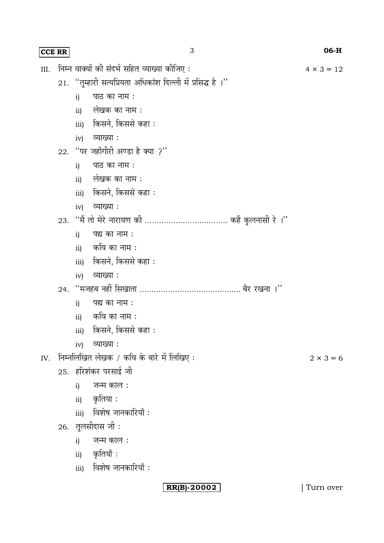|      | <b>CCE RR</b> | 3                                                            | 06-H              |  |  |  |  |
|------|---------------|--------------------------------------------------------------|-------------------|--|--|--|--|
| III. |               | निम्न वाक्यों की संदर्भ सहित व्याख्या कीजिए :                | $4 \times 3 = 12$ |  |  |  |  |
|      |               | 21. "तुम्हारी सत्यप्रियता अधिकांश दिल्ली में प्रसिद्ध है ।'' |                   |  |  |  |  |
|      |               | पाठ का नाम:<br>i)                                            |                   |  |  |  |  |
|      |               | ii) लेखक का नाम :                                            |                   |  |  |  |  |
|      |               | <u>iii)</u> किसने, किससे कहा :                               |                   |  |  |  |  |
|      |               | iv) व्याख्या :                                               |                   |  |  |  |  |
|      |               | 22. "पर जहाँगीरी अण्डा है क्या ?"                            |                   |  |  |  |  |
|      |               | पाठ का नाम :<br>i)                                           |                   |  |  |  |  |
|      |               | ii) लेखक का नाम :                                            |                   |  |  |  |  |
|      |               | iii) किसने, किससे कहा :                                      |                   |  |  |  |  |
|      |               | iv) व्याख्या:                                                |                   |  |  |  |  |
|      |               |                                                              |                   |  |  |  |  |
|      |               | पद्य का नाम :<br>i)                                          |                   |  |  |  |  |
|      |               | ii) कवि का नाम :                                             |                   |  |  |  |  |
|      |               | <u>iii)</u> किसने, किससे कहा :                               |                   |  |  |  |  |
|      |               | iv) व्याख्या :                                               |                   |  |  |  |  |
|      |               |                                                              |                   |  |  |  |  |
|      |               | पद्य का नाम :<br>i)                                          |                   |  |  |  |  |
|      |               | ii) कवि का नाम :                                             |                   |  |  |  |  |
|      |               | iii) किसने, किससे कहा :                                      |                   |  |  |  |  |
|      |               | व्याख्या :<br>iv)                                            |                   |  |  |  |  |
| IV.  |               | निम्नलिखित लेखक / कवि के बारे में लिखिए:<br>$2 \times 3 = 6$ |                   |  |  |  |  |
|      |               | 25. हरिशंकर परसाई जी                                         |                   |  |  |  |  |
|      |               | जन्म काल :<br>i)                                             |                   |  |  |  |  |
|      |               | ii) कृतिया <b>:</b>                                          |                   |  |  |  |  |
|      |               | iii) विशेष जानकारियाँ:                                       |                   |  |  |  |  |
|      |               | 26. तुलसीदास जी:                                             |                   |  |  |  |  |
|      |               | जन्म काल :<br>i)                                             |                   |  |  |  |  |
|      |               | ii) कृतियाँ:                                                 |                   |  |  |  |  |
|      |               | iii) विशेष जानकारियाँ:                                       |                   |  |  |  |  |

**RR(B)-20002** [ Turn over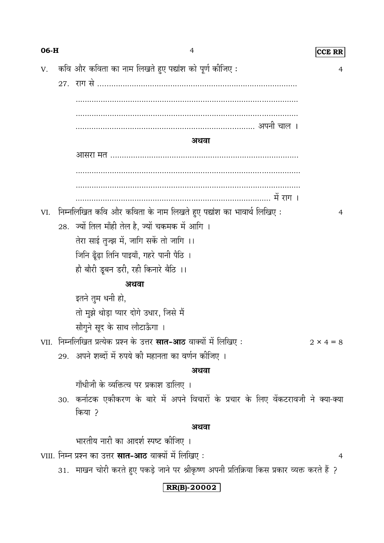| 06-H |  | $\overline{4}$                                                                                | <b>CCE RR</b>    |
|------|--|-----------------------------------------------------------------------------------------------|------------------|
| V.   |  | कवि और कविता का नाम लिखते हुए पद्यांश को पूर्ण कीजिए:                                         | 4                |
|      |  |                                                                                               |                  |
|      |  |                                                                                               |                  |
|      |  |                                                                                               |                  |
|      |  |                                                                                               |                  |
|      |  | अथवा                                                                                          |                  |
|      |  |                                                                                               |                  |
|      |  |                                                                                               |                  |
|      |  |                                                                                               |                  |
|      |  |                                                                                               |                  |
| VI.  |  | निम्नलिखित कवि और कविता के नाम लिखते हुए पद्यांश का भावार्थ लिखिए :                           | 4                |
|      |  | 28. ज्यों तिल माँही तेल है, ज्यों चकमक में आगि ।                                              |                  |
|      |  | तेरा साई तुज्झ में, जागि सकें तो जागि ।।                                                      |                  |
|      |  | जिनि ढूँढ़ा तिनि पाइयाँ, गहरे पानी पैठि ।                                                     |                  |
|      |  | हौ बौरी डूबन डरी, रही किनारे बैठि ।।                                                          |                  |
|      |  | अथवा                                                                                          |                  |
|      |  | इतने तुम धनी हो,                                                                              |                  |
|      |  | तो मुझे थोड़ा प्यार दोगे उधार, जिसे मैं                                                       |                  |
|      |  | सौगुने सूद के साथ लौटाऊँगा ।                                                                  |                  |
|      |  | VII.  निम्नलिखित प्रत्येक प्रश्न के उत्तर <b>सात-आठ</b> वाक्यों में लिखिए :                   | $2 \times 4 = 8$ |
|      |  | 29.  अपने शब्दों में रुपये की महानता का वर्णन कीजिए ।                                         |                  |
|      |  | अथवा                                                                                          |                  |
|      |  | गाँधीजी के व्यक्तित्व पर प्रकाश डालिए ।                                                       |                  |
|      |  | 30. कर्नाटक एकीकरण के बारे में अपने विचारों के प्रचार के लिए वेंकटरावजी ने क्या-क्या          |                  |
|      |  | किया ?                                                                                        |                  |
|      |  | अथवा                                                                                          |                  |
|      |  | भारतीय नारी का आदर्श स्पष्ट कीजिए ।                                                           |                  |
|      |  | VIII. निम्न प्रश्न का उत्तर <b>सात-आठ</b> वाक्यों में लिखिए :                                 | 4                |
|      |  | 31.  माखन चोरी करते हुए पकड़े जाने पर श्रीकृष्ण अपनी प्रतिक्रिया किस प्रकार व्यक्त करते हैं ? |                  |
|      |  | RR(B)-20002                                                                                   |                  |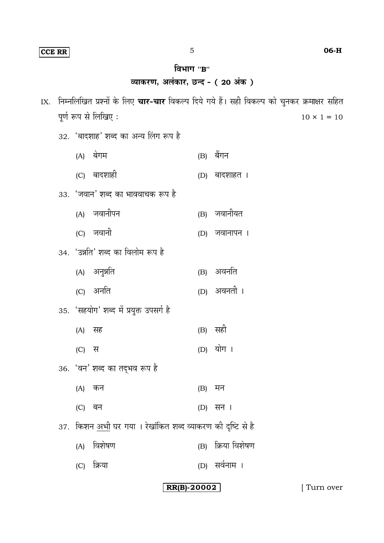# **RR(B)-20002** [ Turn over

| IX. |       |                                                                     |     | निम्नलिखित प्रश्नों के लिए <b>चार-चार</b> विकल्प दिये गये हैं। सही विकल्प को चुनकर क्रमाक्षर सहित |
|-----|-------|---------------------------------------------------------------------|-----|---------------------------------------------------------------------------------------------------|
|     |       | पूर्ण रूप से लिखिए:                                                 |     | $10 \times 1 = 10$                                                                                |
|     |       | 32. 'बादशाह' शब्द का अन्य लिंग रूप है                               |     |                                                                                                   |
|     |       | (A) बेगम                                                            | (B) | बैंगन                                                                                             |
|     |       | (C) बादशाही                                                         |     | (D) बादशाहत ।                                                                                     |
|     |       | 33. 'जवान' शब्द का भाववाचक रूप है                                   |     |                                                                                                   |
|     |       | (A) जवानीपन                                                         |     | (B) जवानीयत                                                                                       |
|     |       | (C) जवानी                                                           |     | (D) जवानापन ।                                                                                     |
|     |       | 34. 'उन्नति' शब्द का विलोम रूप है                                   |     |                                                                                                   |
|     |       | (A) अनुन्नति                                                        |     | (B) अवनति                                                                                         |
|     |       | (C) अर्नात                                                          |     | (D) अवनती ।                                                                                       |
|     |       | 35. 'सहयोग' शब्द में प्रयुक्त उपसर्ग है                             |     |                                                                                                   |
|     | (A)   | सह                                                                  |     | (B) सही                                                                                           |
|     | (C) स |                                                                     |     | (D) योग ।                                                                                         |
|     |       | 36. 'वन' शब्द का तद्भव रूप है                                       |     |                                                                                                   |
|     | (A)   | कन                                                                  | (B) | मन                                                                                                |
|     | (C)   | बन                                                                  |     | (D) सन ।                                                                                          |
|     |       | 37.  किशन <u>अभी</u> घर गया । रेखांकित शब्द व्याकरण की दृष्टि से है |     |                                                                                                   |
|     | (A)   | विशेषण                                                              | (B) | क्रिया विशेषण                                                                                     |
|     | (C)   | क्रिया                                                              |     | (D) सर्वनाम ।                                                                                     |
|     |       |                                                                     |     |                                                                                                   |

## विभाग "**B**"

# व्याकरण, अलंकार, छन्द - ( 20 अंक )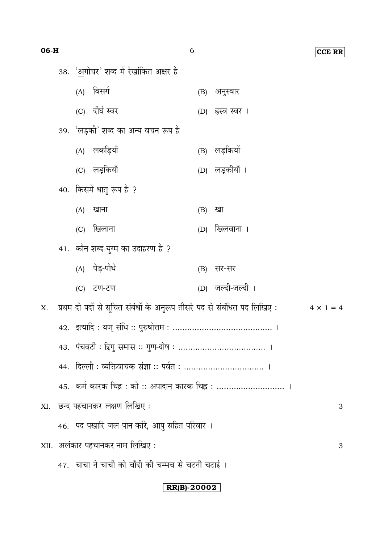| 06-H |                                                                                             |     |                                                    | 6   |                   | <b>CCE RR</b> |  |
|------|---------------------------------------------------------------------------------------------|-----|----------------------------------------------------|-----|-------------------|---------------|--|
|      | 38. 'अगोचर' शब्द में रेखांकित अक्षर है                                                      |     |                                                    |     |                   |               |  |
|      |                                                                                             | (A) | विसर्ग                                             |     | (B) अनुस्वार      |               |  |
|      |                                                                                             |     | (C) दीर्घ स्वर                                     |     | (D) हस्व स्वर ।   |               |  |
|      |                                                                                             |     | 39. 'लड़की' शब्द का अन्य वचन रूप है                |     |                   |               |  |
|      |                                                                                             |     | (A) लकड़ियाँ                                       |     | (B) लड़कियों      |               |  |
|      |                                                                                             |     | (C) लड़कियाँ                                       |     | (D) लड़कीयाँ ।    |               |  |
|      | 40. किसमें धातु रूप है ?                                                                    |     |                                                    |     |                   |               |  |
|      |                                                                                             | (A) | खाना                                               | (B) | खा                |               |  |
|      |                                                                                             | (C) | खिलाना                                             |     | (D) खिलवाना ।     |               |  |
|      |                                                                                             |     | 41. कौन शब्द-युग्म का उदाहरण है ?                  |     |                   |               |  |
|      |                                                                                             |     | (A) पेड़-पौधे                                      | (B) | सर-सर             |               |  |
|      |                                                                                             |     | (C) टण-टण                                          |     | (D) जल्दी-जल्दी । |               |  |
| X.   | प्रथम दो पदों से सूचित संबंधों के अनुरूप तीसरे पद से संबंधित पद लिखिए :<br>$4 \times 1 = 4$ |     |                                                    |     |                   |               |  |
|      |                                                                                             |     |                                                    |     |                   |               |  |
|      |                                                                                             |     |                                                    |     |                   |               |  |
|      |                                                                                             |     |                                                    |     |                   |               |  |
|      | 45.   कर्म कारक चिह्न : को :: अपादान कारक चिह्न :  ।                                        |     |                                                    |     |                   |               |  |
|      | XI. छन्द पहचानकर लक्षण लिखिए:                                                               |     |                                                    |     |                   |               |  |
|      | 46.  पद पखारि जल पान करि, आपु सहित परिवार ।                                                 |     |                                                    |     |                   |               |  |
|      |                                                                                             |     | XII. अलंकार पहचानकर नाम लिखिए :                    |     |                   | 3             |  |
|      |                                                                                             |     | 47.  चाचा ने चाची को चाँदी की चम्मच से चटनी चटाई । |     |                   |               |  |

RR(B)-20002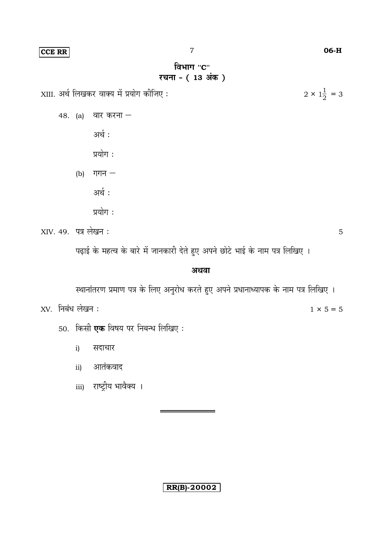**CCE RR** 

XIII. अर्थ लिखकर वाक्य में प्रयोग कीजिए :

48. (a) वार करना -

अर्थ :

प्रयोग:

(b) गगन  $-$ 

अर्थ:

प्रयोग:

XIV. 49. पत्र लेखन:

पढ़ाई के महत्व के बारे में जानकारी देते हुए अपने छोटे भाई के नाम पत्र लिखिए ।

अथवा

स्थानांतरण प्रमाण पत्र के लिए अनुरोध करते हुए अपने प्रधानाध्यापक के नाम पत्र लिखिए ।

 $XY.$  निबंध लेखन:

50. किसी एक विषय पर निबन्ध लिखिए:

सदाचार  $i)$ 

आतंकवाद  $\overline{11}$ 

iii) राष्ट्रीय भावैक्य ।

**RR(B)-20002** 

06-H

 $2\times 1\frac{1}{2}=3$ 

5

 $1 \times 5 = 5$